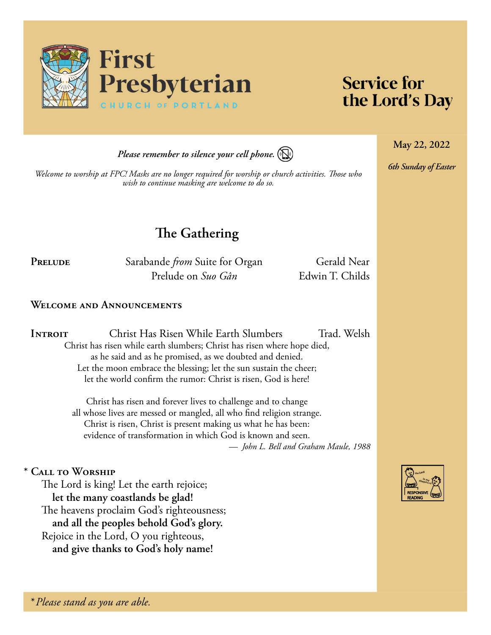

# **Service for** the Lord's Day

**May 22, 2022**

*6th Sunday of Easter*

*Please remember to silence your cell phone.*



*Welcome to worship at FPC! Masks are no longer required for worship or church activities. Those who wish to continue masking are welcome to do so.*

**The Gathering**

PRELUDE Sarabande *from* Suite for Organ Gerald Near Prelude on *Suo Gân* Edwin T. Childs

## **Welcome and Announcements**

**Introit** Christ Has Risen While Earth Slumbers Trad. Welsh Christ has risen while earth slumbers; Christ has risen where hope died, as he said and as he promised, as we doubted and denied. Let the moon embrace the blessing; let the sun sustain the cheer; let the world confirm the rumor: Christ is risen, God is here!

> Christ has risen and forever lives to challenge and to change all whose lives are messed or mangled, all who find religion strange. Christ is risen, Christ is present making us what he has been: evidence of transformation in which God is known and seen. *— John L. Bell and Graham Maule, 1988*

## **\* Call to Worship**

The Lord is king! Let the earth rejoice; **let the many coastlands be glad!** The heavens proclaim God's righteousness; **and all the peoples behold God's glory.** Rejoice in the Lord, O you righteous, **and give thanks to God's holy name!**

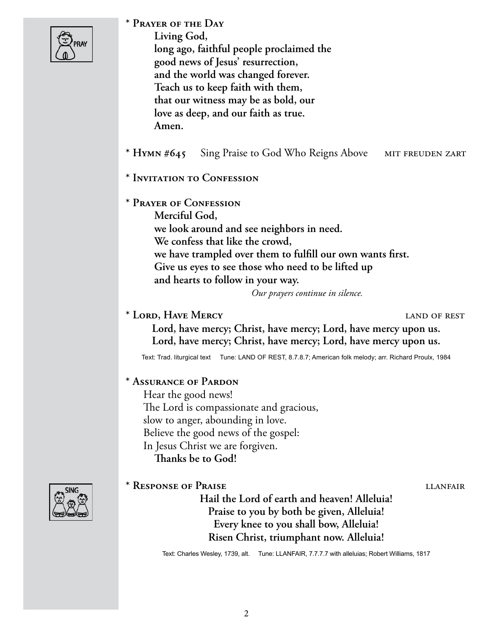| pray |
|------|
|      |

**\* Prayer of the Day** 

**Living God, long ago, faithful people proclaimed the good news of Jesus' resurrection, and the world was changed forever. Teach us to keep faith with them, that our witness may be as bold, our love as deep, and our faith as true. Amen.**

\* **HYMN #645** Sing Praise to God Who Reigns Above MIT FREUDEN ZART

- **\* Invitation to Confession**
- **\* Prayer of Confession**

**Merciful God, we look around and see neighbors in need. We confess that like the crowd, we have trampled over them to fulfill our own wants first. Give us eyes to see those who need to be lifted up and hearts to follow in your way.** 

*Our prayers continue in silence.*

**\* Lord, Have Mercy** land of rest

**Lord, have mercy; Christ, have mercy; Lord, have mercy upon us. Lord, have mercy; Christ, have mercy; Lord, have mercy upon us.**

Text: Trad. liturgical text Tune: LAND OF REST, 8.7.8.7; American folk melody; arr. Richard Proulx, 1984

## **\* Assurance of Pardon**

Hear the good news! The Lord is compassionate and gracious, slow to anger, abounding in love. Believe the good news of the gospel: In Jesus Christ we are forgiven. **Thanks be to God!**

# \* Response of Praise **letters** and the literature literature is  $\mu$ **Hail the Lord of earth and heaven! Alleluia! Praise to you by both be given, Alleluia! Every knee to you shall bow, Alleluia! Risen Christ, triumphant now. Alleluia!**

Text: Charles Wesley, 1739, alt. Tune: LLANFAIR, 7.7.7.7 with alleluias; Robert Williams, 1817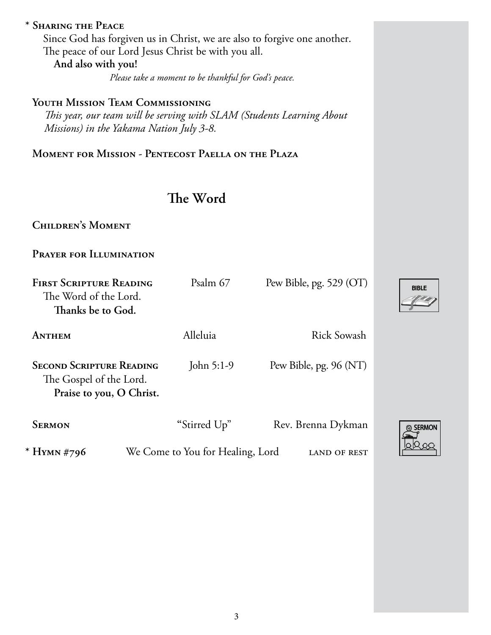# **\* Sharing the Peace**

Since God has forgiven us in Christ, we are also to forgive one another. The peace of our Lord Jesus Christ be with you all. **And also with you!**

*Please take a moment to be thankful for God's peace.*

# **Youth Mission Team Commissioning**

 *This year, our team will be serving with SLAM (Students Learning About Missions) in the Yakama Nation July 3-8.*

**Moment for Mission - Pentecost Paella on the Plaza**

# **The Word**

**Children's Moment** 

**Prayer for Illumination**

| <b>FIRST SCRIPTURE READING</b><br>The Word of the Lord.<br>Thanks be to God.           | Psalm 67                         | Pew Bible, pg. 529 (OT) |
|----------------------------------------------------------------------------------------|----------------------------------|-------------------------|
| ANTHEM                                                                                 | Alleluia                         | <b>Rick Sowash</b>      |
| <b>SECOND SCRIPTURE READING</b><br>The Gospel of the Lord.<br>Praise to you, O Christ. | John $5:1-9$                     | Pew Bible, pg. 96 (NT)  |
| <b>SERMON</b>                                                                          | "Stirred Up"                     | Rev. Brenna Dykman      |
| * HYMN #796                                                                            | We Come to You for Healing, Lord | LAND OF REST            |

**BIBLE**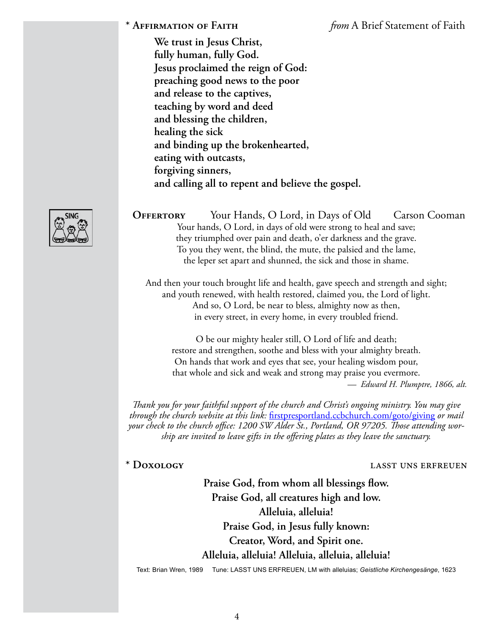**\* Affirmation of Faith** *from* A Brief Statement of Faith

**We trust in Jesus Christ, fully human, fully God. Jesus proclaimed the reign of God: preaching good news to the poor and release to the captives, teaching by word and deed and blessing the children, healing the sick and binding up the brokenhearted, eating with outcasts, forgiving sinners, and calling all to repent and believe the gospel.** 



And then your touch brought life and health, gave speech and strength and sight; and youth renewed, with health restored, claimed you, the Lord of light. And so, O Lord, be near to bless, almighty now as then, in every street, in every home, in every troubled friend.

O be our mighty healer still, O Lord of life and death; restore and strengthen, soothe and bless with your almighty breath. On hands that work and eyes that see, your healing wisdom pour, that whole and sick and weak and strong may praise you evermore. *— Edward H. Plumptre, 1866, alt.*

*Thank you for your faithful support of the church and Christ's ongoing ministry. You may give through the church website at this link:* [firstpresportland.ccbchurch.com/goto/giving](http://firstpresportland.ccbchurch.com/goto/giving) *or mail your check to the church office: 1200 SW Alder St., Portland, OR 97205. Those attending worship are invited to leave gifts in the offering plates as they leave the sanctuary.*

#### **\* Doxology** lasst uns erfreuen

**Praise God, from whom all blessings flow. Praise God, all creatures high and low. Alleluia, alleluia! Praise God, in Jesus fully known: Creator, Word, and Spirit one. Alleluia, alleluia! Alleluia, alleluia, alleluia!**

Text: Brian Wren, 1989 Tune: LASST UNS ERFREUEN, LM with alleluias; *Geistliche Kirchengesänge*, 1623

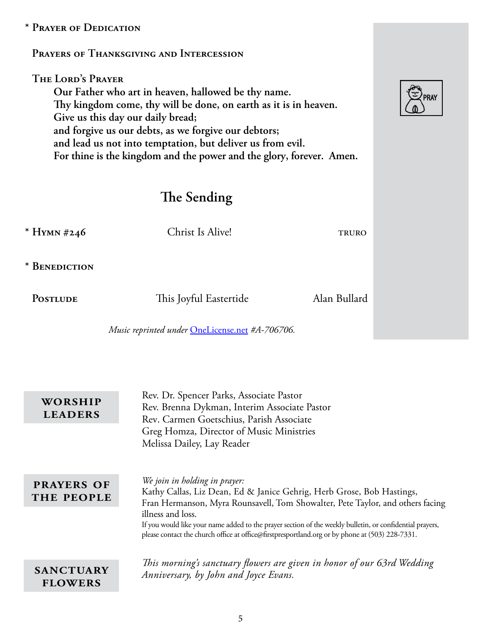# **\* Prayer of Dedication**

## **Prayers of Thanksgiving and Intercession**

**The Lord's Prayer Our Father who art in heaven, hallowed be thy name. Thy kingdom come, thy will be done, on earth as it is in heaven. Give us this day our daily bread; and forgive us our debts, as we forgive our debtors; and lead us not into temptation, but deliver us from evil. For thine is the kingdom and the power and the glory, forever. Amen.**

# **The Sending**

| * HYMN #246     | Christ Is Alive!                                | <b>TRURO</b> |
|-----------------|-------------------------------------------------|--------------|
| * BENEDICTION   |                                                 |              |
| <b>POSTLUDE</b> | This Joyful Eastertide                          | Alan Bullard |
|                 | Music reprinted under OneLicense.net #A-706706. |              |

| WORSHIP<br><b>LEADERS</b>          | Rev. Dr. Spencer Parks, Associate Pastor<br>Rev. Brenna Dykman, Interim Associate Pastor<br>Rev. Carmen Goetschius, Parish Associate<br>Greg Homza, Director of Music Ministries<br>Melissa Dailey, Lay Reader                                                                                                                                                                                                               |
|------------------------------------|------------------------------------------------------------------------------------------------------------------------------------------------------------------------------------------------------------------------------------------------------------------------------------------------------------------------------------------------------------------------------------------------------------------------------|
| <b>PRAYERS OF</b><br>THE PEOPLE    | We join in holding in prayer:<br>Kathy Callas, Liz Dean, Ed & Janice Gehrig, Herb Grose, Bob Hastings,<br>Fran Hermanson, Myra Rounsavell, Tom Showalter, Pete Taylor, and others facing<br>illness and loss.<br>If you would like your name added to the prayer section of the weekly bulletin, or confidential prayers,<br>please contact the church office at office@firstpresportland.org or by phone at (503) 228-7331. |
| <b>SANCTUARY</b><br><b>FLOWERS</b> | This morning's sanctuary flowers are given in honor of our 63rd Wedding<br>Anniversary, by John and Joyce Evans.                                                                                                                                                                                                                                                                                                             |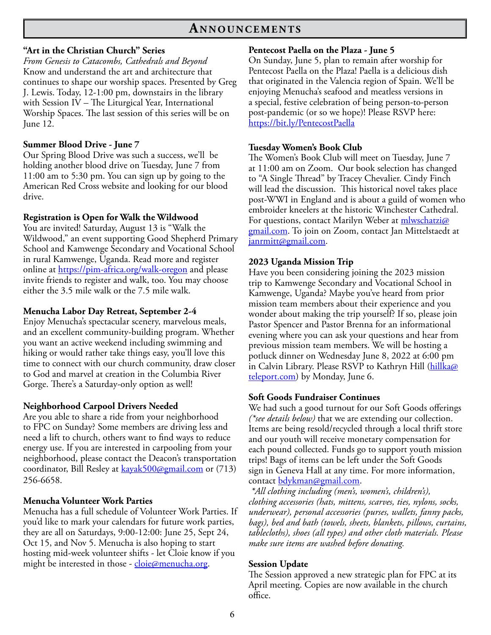# **An n o u n c e m e n t s**

#### **"Art in the Christian Church" Series**

*From Genesis to Catacombs, Cathedrals and Beyond* Know and understand the art and architecture that continues to shape our worship spaces. Presented by Greg J. Lewis. Today, 12-1:00 pm, downstairs in the library with Session IV – The Liturgical Year, International Worship Spaces. The last session of this series will be on June 12.

#### **Summer Blood Drive - June 7**

Our Spring Blood Drive was such a success, we'll be holding another blood drive on Tuesday, June 7 from 11:00 am to 5:30 pm. You can sign up by going to the American Red Cross website and looking for our blood drive.

#### **Registration is Open for Walk the Wildwood**

You are invited! Saturday, August 13 is "Walk the Wildwood," an event supporting Good Shepherd Primary School and Kamwenge Secondary and Vocational School in rural Kamwenge, Uganda. Read more and register online at <https://pim-africa.org/walk-oregon>and please invite friends to register and walk, too. You may choose either the 3.5 mile walk or the 7.5 mile walk.

#### **Menucha Labor Day Retreat, September 2-4**

Enjoy Menucha's spectacular scenery, marvelous meals, and an excellent community-building program. Whether you want an active weekend including swimming and hiking or would rather take things easy, you'll love this time to connect with our church community, draw closer to God and marvel at creation in the Columbia River Gorge. There's a Saturday-only option as well!

#### **Neighborhood Carpool Drivers Needed**

Are you able to share a ride from your neighborhood to FPC on Sunday? Some members are driving less and need a lift to church, others want to find ways to reduce energy use. If you are interested in carpooling from your neighborhood, please contact the Deacon's transportation coordinator, Bill Resley at [kayak500@gmail.com](mailto:kayak500@gmail.com) or (713) 256-6658.

#### **Menucha Volunteer Work Parties**

Menucha has a full schedule of Volunteer Work Parties. If you'd like to mark your calendars for future work parties, they are all on Saturdays, 9:00-12:00: June 25, Sept 24, Oct 15, and Nov 5. Menucha is also hoping to start hosting mid-week volunteer shifts - let Cloie know if you might be interested in those - [cloie@menucha.org.](mailto:cloie@menucha.org)

#### **Pentecost Paella on the Plaza - June 5**

On Sunday, June 5, plan to remain after worship for Pentecost Paella on the Plaza! Paella is a delicious dish that originated in the Valencia region of Spain. We'll be enjoying Menucha's seafood and meatless versions in a special, festive celebration of being person-to-person post-pandemic (or so we hope)! Please RSVP here: <https://bit.ly/PentecostPaella>

#### **Tuesday Women's Book Club**

The Women's Book Club will meet on Tuesday, June 7 at 11:00 am on Zoom. Our book selection has changed to "A Single Thread" by Tracey Chevalier. Cindy Finch will lead the discussion. This historical novel takes place post-WWI in England and is about a guild of women who embroider kneelers at the historic Winchester Cathedral. For questions, contact Marilyn Weber at [mlwschatzi@](mailto:mlwschatzi@gmail.com) [gmail.com.](mailto:mlwschatzi@gmail.com) To join on Zoom, contact Jan Mittelstaedt at [janrmitt@gmail.com.](mailto:janrmitt@gmail.com)

#### **2023 Uganda Mission Trip**

Have you been considering joining the 2023 mission trip to Kamwenge Secondary and Vocational School in Kamwenge, Uganda? Maybe you've heard from prior mission team members about their experience and you wonder about making the trip yourself? If so, please join Pastor Spencer and Pastor Brenna for an informational evening where you can ask your questions and hear from previous mission team members. We will be hosting a potluck dinner on Wednesday June 8, 2022 at 6:00 pm in Calvin Library. Please RSVP to Kathryn Hill [\(hillka@](mailto:hillka@teleport.com) [teleport.com\)](mailto:hillka@teleport.com) by Monday, June 6.

#### **Soft Goods Fundraiser Continues**

We had such a good turnout for our Soft Goods offerings *(\*see details below)* that we are extending our collection. Items are being resold/recycled through a local thrift store and our youth will receive monetary compensation for each pound collected. Funds go to support youth mission trips! Bags of items can be left under the Soft Goods sign in Geneva Hall at any time. For more information, contact [bdykman@gmail.com.](mailto:bdykman@gmail.com)

*\*All clothing including (men's, women's, children's), clothing accessories (hats, mittens, scarves, ties, nylons, socks, underwear), personal accessories (purses, wallets, fanny packs, bags), bed and bath (towels, sheets, blankets, pillows, curtains, tablecloths), shoes (all types) and other cloth materials. Please make sure items are washed before donating.*

#### **Session Update**

The Session approved a new strategic plan for FPC at its April meeting. Copies are now available in the church office.